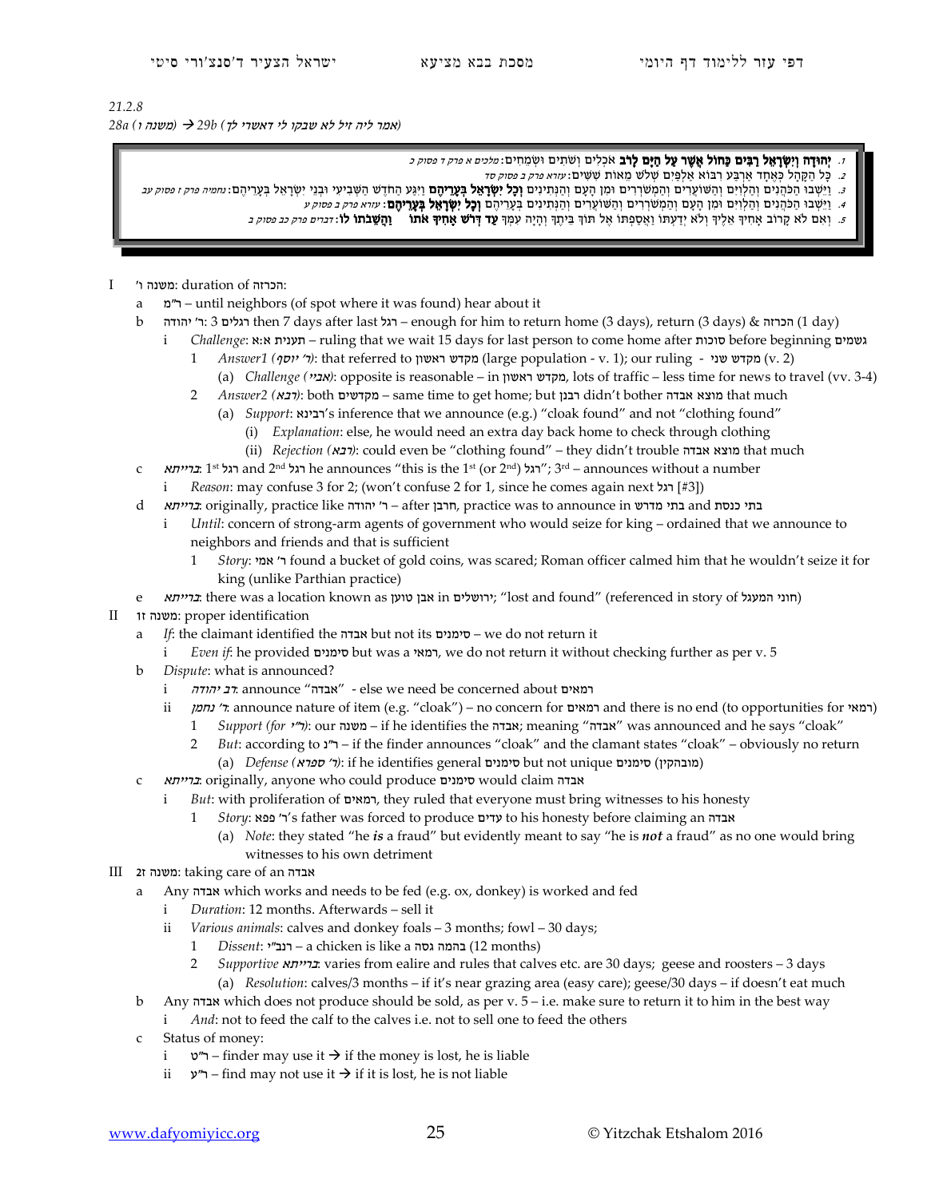## *21.2.8 (*אמר ליה זיל לא שבקו לי דאשרי לך*) b29 )* משנה ו*) a28*

- 1. יְהוּדָה וְיָשְׂרָאֵל רַבֵּים כַּחוֹל אֲשָׁר עַל הַיָּם לָרֹב אֹכְלִים וְשֹׁתֵים וּשָׂמֵחִים: *מלכים א פרק ד פסוק כ* 
	- 2. כָּל הַקָּהָל כְּאֵחָד אַרְבַּע רְבּוֹא אַלְפַּיִם שְׁלֹש מֵאוֹת שָׁשִּׁים: *עזרא פרק ב פסוק סד*
- כּ. וַיַּשְׁבוּ הַפֹּהְנִים וְהַלְוִיִם וְהַמְשֹׁרְיִם וְהַמְשֹׁרְרִים וּמִן הָעָם וְהַנְתִינִים **וְכָל יִשְׂרָאֵל בְּעָרְיהָם** וַיִּגַּע הַחֹדֶשׁ הַשְּׁבִיעִי וּבְנֵי יִשְׂרָאֵל בְּעָרִיהֶם: *חמיה פרק ו פחק עב* 
	- ּ 1. וַיֵּשְׁבוּ הַכֹּהֲנִים וְהַלְוִיִּם וּמִן הָעָם וְהַמְשֹׁרְרִים וְהַשּׁוֹעֲרִים וְהַמְּתִינִים בְּעָרֵיהֶם **וְכָל יִשְׂרָאֵל בְּעֲרֵיהֶם** י*נוזא פרק ב פסוק ע*
	- 5. וְאִם לֹא קַרוֹב אָחִיךְ אֶלֶיךְ וְלֹא יִדַעְתּוֹ וַאֲסַפְתּוֹ אֶל תּוֹךְ בֵּיתֶךְ וְהָיָה עָמָך**ְ עָד דְּרֹשׁ אַחִיךָ אֹתוֹ וַהַשָּׁבֹתוֹ לוֹ:** *דברים פרק כב פסוק ב*

## :הכרזה of duration :משנה ו' I

- a מ"ר until neighbors (of spot where it was found) hear about it
- b יהודה' ר: 3 רגלים then 7 days after last רגל enough for him to return home (3 days), return (3 days) & הכרזה) 1 day)
	- i *Challenge*: א:א תענית ruling that we wait 15 days for last person to come home after סוכות before beginning גשמים
		- 1 *Answer1 (יוי יוסף*): that referred to מקדש ואשון (large population v. 1); our ruling שמעי  $($ v. 2)
		- (a) *Challenge (*אביי*(*: opposite is reasonable in ראשון מקדש, lots of traffic less time for news to travel (vv. 3-4)
		- 2 *Answer2 (*רבא*(*: both מקדשים same time to get home; but רבנן didn't bother אבדה מוצא that much
			- (a) *Support*: רבינא's inference that we announce (e.g.) "cloak found" and not "clothing found"
				- (i) *Explanation*: else, he would need an extra day back home to check through clothing
				- (ii) *Rejection (ביבא*): could even be "clothing found" they didn't trouble מוצא אבדה
- c *ברייתא* and 2<sup>nd</sup> רגל he announces "this is the 1st (or 2nd) רגל <sub>3</sub>rd announces without a number; וואל 1st לגל
	- *Reason*: may confuse 3 for 2; (won't confuse 2 for 1, since he comes again next [#3])
- d בתי כנסת and בתי מדרש, practice was to announce in חרבן, practice like חרבן ה' ההודה, practice was to announce in כ
	- *Until*: concern of strong-arm agents of government who would seize for king ordained that we announce to neighbors and friends and that is sufficient
		- 1 *Story*: אמי' ר found a bucket of gold coins, was scared; Roman officer calmed him that he wouldn't seize it for king (unlike Parthian practice)
- e *גרייתא*: there was a location known as טוען אבן טוען in ירושלים in found" (referenced in story of הוני המעגל)
- II ז1 משנה: proper identification
	- a *If*: the claimant identified the אבדה but not its סימנים we do not return it
		- i *Even if*: he provided סימנים but was a רמאי, we do not return it without checking further as per v. 5
	- b *Dispute*: what is announced?
		- i יהודה "אבדה" announce "אבדה "אבדה "celse we need be concerned about רמאים
		- ii *נחמן*' r: announce nature of item (e.g. "cloak") no concern for רמאים and there is no end (to opportunities for יראה
			- 1 *Support (for '''*): our <sup>-</sup> d me identifies the אבדה ; meaning "אבדה "was announced and he says "cloak"
			- 2 *But*: according to נ"ר if the finder announces "cloak" and the clamant states "cloak" obviously no return (a) *Defense (*ספרא' ר*(*: if he identifies general סימנים but not unique סימנים) מובהקין (
	- c ברייתא: originally, anyone who could produce סימנים would claim אבדה
		- i *But*: with proliferation of רמאים, they ruled that everyone must bring witnesses to his honesty
			- 1 *Story*: פפא' ר's father was forced to produce עדים to his honesty before claiming an אבדה
				- (a) *Note*: they stated "he *is* a fraud" but evidently meant to say "he is *not* a fraud" as no one would bring witnesses to his own detriment
- III 2ז משנה: taking care of an אבדה
	- a Any אבדה which works and needs to be fed (e.g. ox, donkey) is worked and fed
		- i *Duration*: 12 months. Afterwards sell it
		- ii *Various animals*: calves and donkey foals 3 months; fowl 30 days;
			- 1 *Dissent*: י"רנב a chicken is like a גסה בהמה) 12 months)
			- 2 *Supportive* ברייתא: varies from ealire and rules that calves etc. are 30 days; geese and roosters 3 days (a) *Resolution*: calves/3 months – if it's near grazing area (easy care); geese/30 days – if doesn't eat much
	- b Any אבדה which does not produce should be sold, as per v. 5 i.e. make sure to return it to him in the best way i *And*: not to feed the calf to the calves i.e. not to sell one to feed the others
	- c Status of money:
		- i  $v''$ ר"ס finder may use it  $\rightarrow$  if the money is lost, he is liable
		- ii  $\nu$ "ר find may not use it  $\rightarrow$  if it is lost, he is not liable